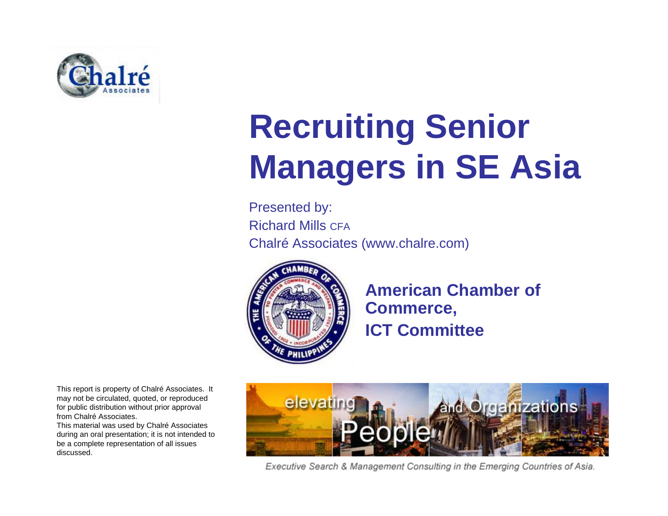

# **Recruiting Senior Managers in SE Asia**

Presented by: Richard Mills CFAChalré Associates (www.chalre.com)



**American Chamber of Commerce, ICT Committee**

This report is property of Chalré Associates. It may not be circulated, quoted, or reproduced for public distribution without prior approval from Chalré Associates.

This material was used by Chalré Associates during an oral presentation; it is not intended to be a complete representation of all issues discussed.

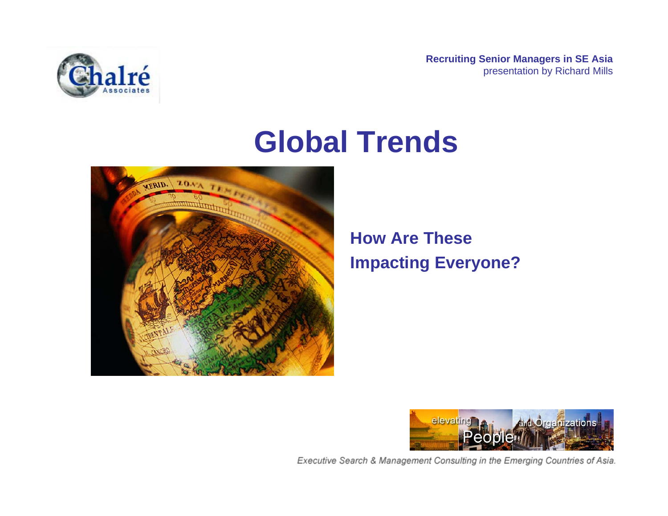

# **Global Trends**



**How Are These Impacting Everyone?**

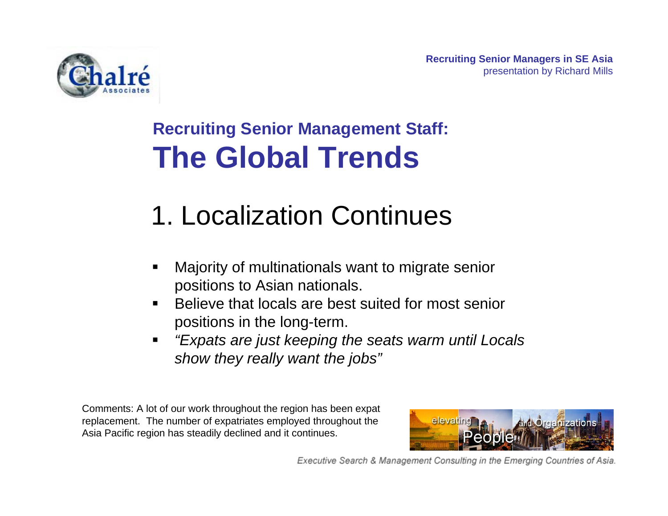

# 1. Localization Continues

- Majority of multinationals want to migrate senior positions to Asian nationals.
- $\blacksquare$  Believe that locals are best suited for most senior positions in the long-term.
- *"Expats are just keeping the seats warm until Locals show they really want the jobs"*

Comments: A lot of our work throughout the region has been expat replacement. The number of expatriates employed throughout the Asia Pacific region has steadily declined and it continues.

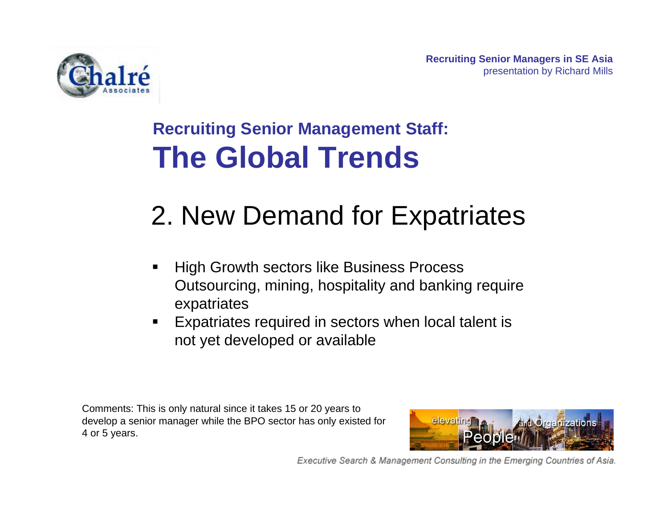

# 2. New Demand for Expatriates

- $\blacksquare$  High Growth sectors like Business Process Outsourcing, mining, hospitality and banking require expatriates
- **Expatriates required in sectors when local talent is** not yet developed or available

Comments: This is only natural since it takes 15 or 20 years to develop a senior manager while the BPO sector has only existed for 4 or 5 years.

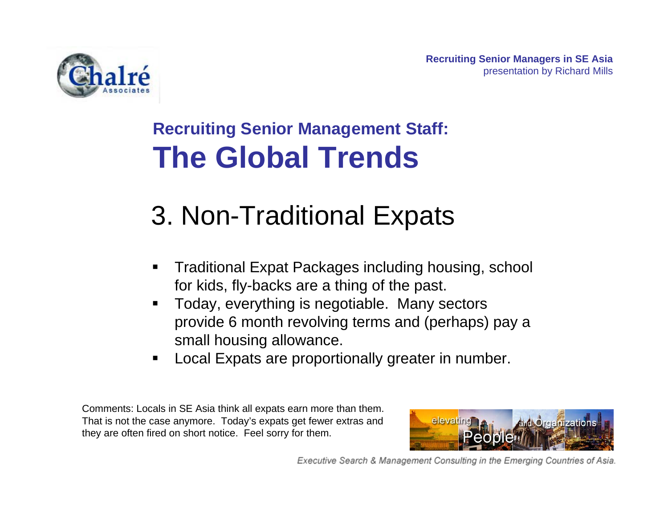

### 3. Non-Traditional Expats

- Traditional Expat Packages including housing, school for kids, fly-backs are a thing of the past.
- $\blacksquare$  Today, everything is negotiable. Many sectors provide 6 month revolving terms and (perhaps) pay a small housing allowance.
- Local Expats are proportionally greater in number.

Comments: Locals in SE Asia think all expats earn more than them. That is not the case anymore. Today's expats get fewer extras and they are often fired on short notice. Feel sorry for them.

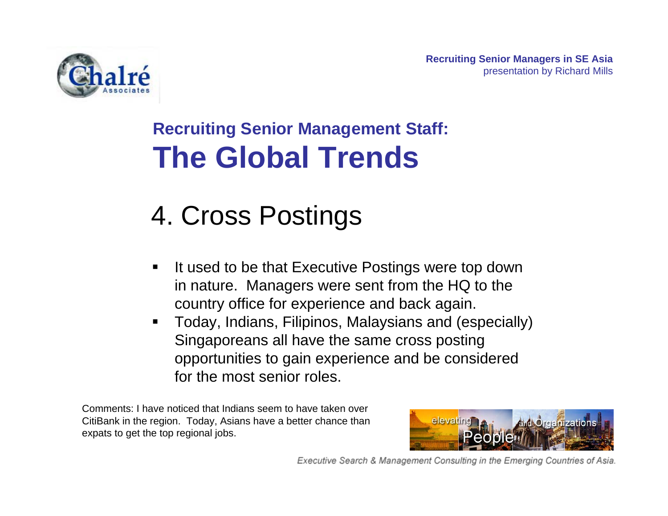

# 4. Cross Postings

- $\blacksquare$ It used to be that Executive Postings were top down in nature. Managers were sent from the HQ to the country office for experience and back again.
- Today, Indians, Filipinos, Malaysians and (especially) Singaporeans all have the same cross posting opportunities to gain experience and be considered for the most senior roles.

Comments: I have noticed that Indians seem to have taken over CitiBank in the region. Today, Asians have a better chance than expats to get the top regional jobs.



Executive Search & Management Consulting in the Emerging Countries of Asia.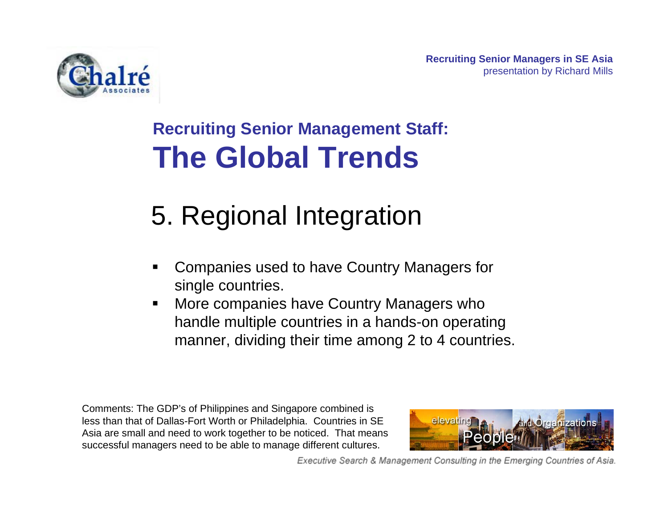

# 5. Regional Integration

- Companies used to have Country Managers for single countries.
- $\blacksquare$  More companies have Country Managers who handle multiple countries in a hands-on operating manner, dividing their time among 2 to 4 countries.

Comments: The GDP's of Philippines and Singapore combined is less than that of Dallas-Fort Worth or Philadelphia. Countries in SE Asia are small and need to work together to be noticed. That means successful managers need to be able to manage different cultures.

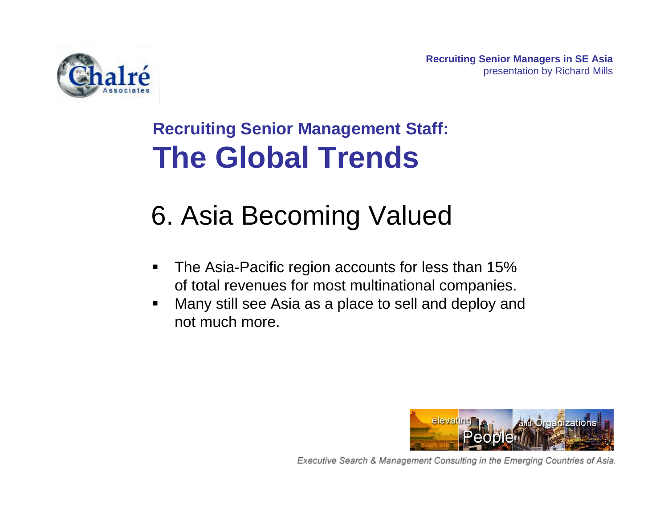

# 6. Asia Becoming Valued

- $\blacksquare$  The Asia-Pacific region accounts for less than 15% of total revenues for most multinational companies.
- $\blacksquare$  Many still see Asia as a place to sell and deploy and not much more.

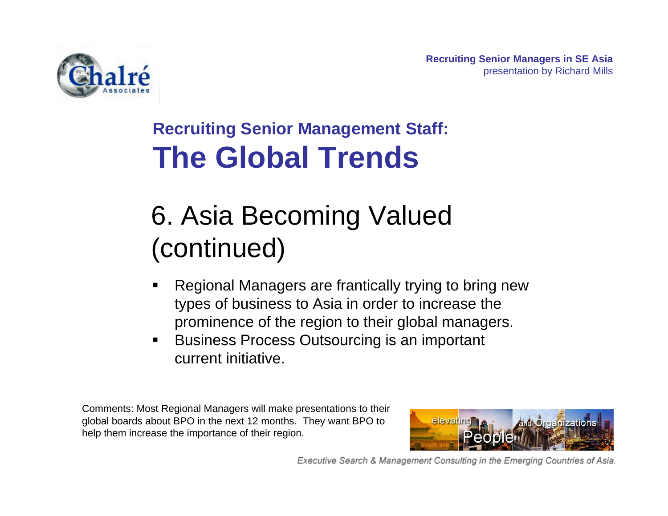

# 6. Asia Becoming Valued (continued)

- Regional Managers are frantically trying to bring new types of business to Asia in order to increase the prominence of the region to their global managers.
- $\blacksquare$  Business Process Outsourcing is an important current initiative.

Comments: Most Regional Managers will make presentations to their global boards about BPO in the next 12 months. They want BPO to help them increase the importance of their region.

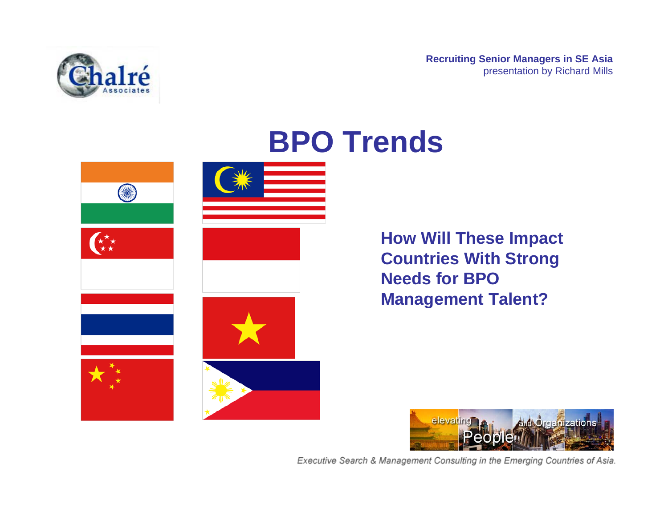



# **BPO Trends**

**How Will These Impact Countries With Strong Needs for BPO Management Talent?**

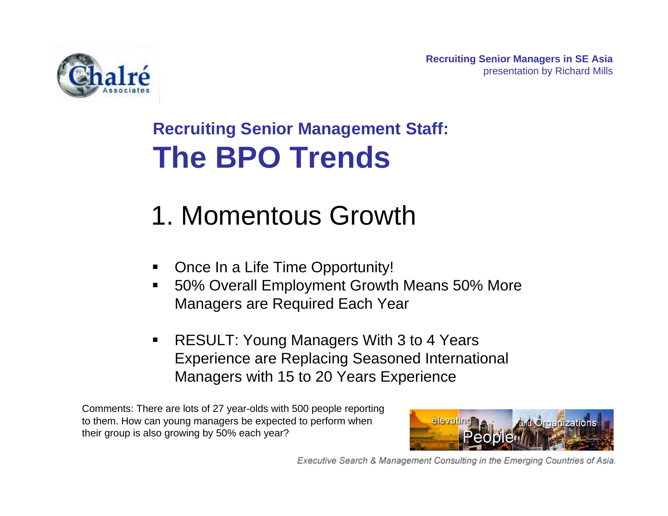

### 1. Momentous Growth

- Once In a Life Time Opportunity!
- 50% Overall Employment Growth Means 50% More Managers are Required Each Year
- $\blacksquare$  RESULT: Young Managers With 3 to 4 Years Experience are Replacing Seasoned International Managers with 15 to 20 Years Experience

Comments: There are lots of 27 year-olds with 500 people reporting to them. How can young managers be expected to perform when their group is also growing by 50% each year?

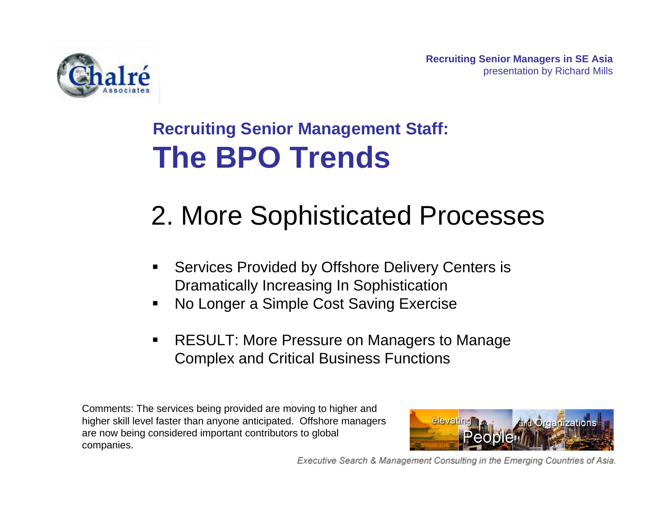

# 2. More Sophisticated Processes

- $\blacksquare$  Services Provided by Offshore Delivery Centers is Dramatically Increasing In Sophistication
- No Longer a Simple Cost Saving Exercise
- $\blacksquare$  RESULT: More Pressure on Managers to Manage Complex and Critical Business Functions

Comments: The services being provided are moving to higher and higher skill level faster than anyone anticipated. Offshore managers are now being considered important contributors to global companies.

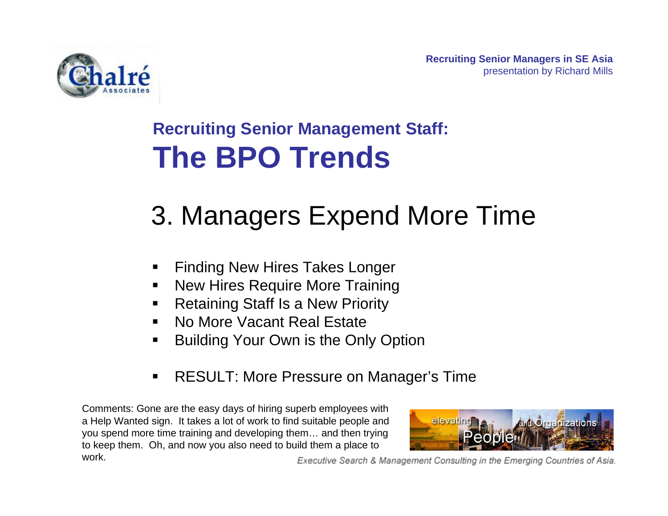

# 3. Managers Expend More Time

- Finding New Hires Takes Longer
- New Hires Require More Training
- $\blacksquare$ Retaining Staff Is a New Priority
- $\blacksquare$ No More Vacant Real Estate
- Building Your Own is the Only Option
- $\blacksquare$ RESULT: More Pressure on Manager's Time

Comments: Gone are the easy days of hiring superb employees with a Help Wanted sign. It takes a lot of work to find suitable people and you spend more time training and developing them… and then trying to keep them. Oh, and now you also need to build them a place to work.

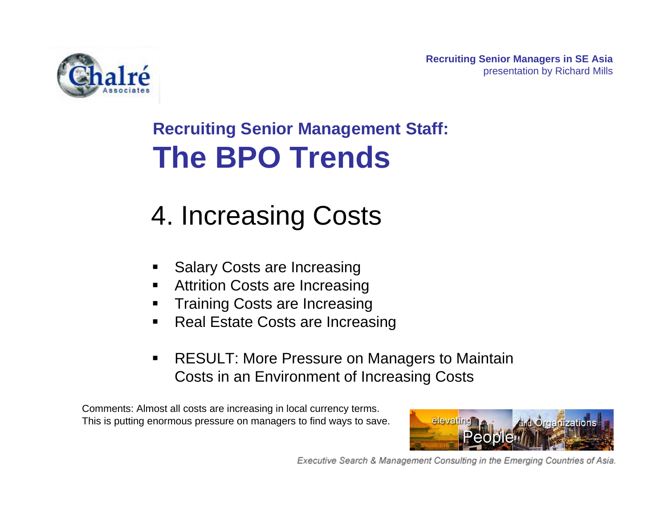

# 4. Increasing Costs

- Salary Costs are Increasing
- Attrition Costs are Increasing
- Training Costs are Increasing
- **Real Estate Costs are Increasing**
- $\blacksquare$  RESULT: More Pressure on Managers to Maintain Costs in an Environment of Increasing Costs

Comments: Almost all costs are increasing in local currency terms. This is putting enormous pressure on managers to find ways to save.

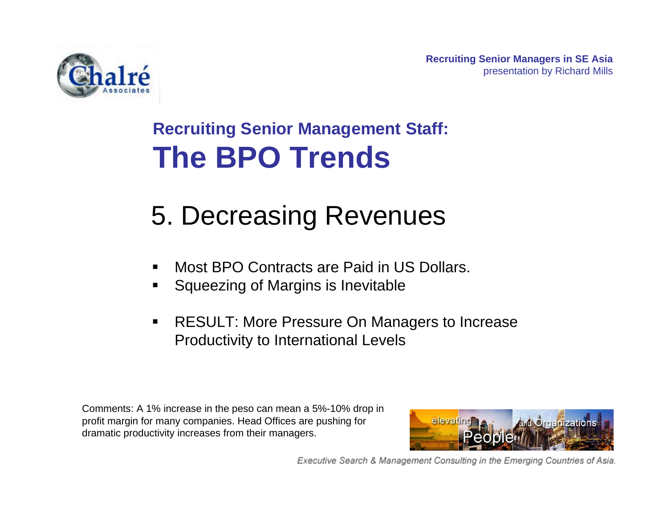

# 5. Decreasing Revenues

- Most BPO Contracts are Paid in US Dollars.
- Squeezing of Margins is Inevitable
- $\blacksquare$  RESULT: More Pressure On Managers to Increase Productivity to International Levels

Comments: A 1% increase in the peso can mean a 5%-10% drop in profit margin for many companies. Head Offices are pushing for dramatic productivity increases from their managers.

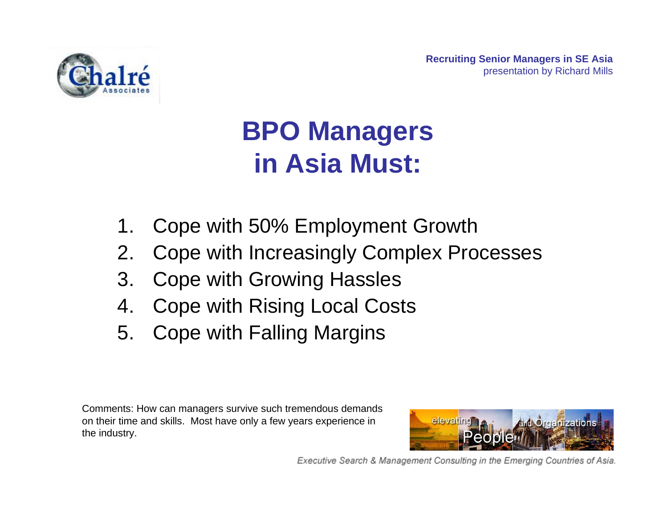

# **BPO Managers in Asia Must:**

- 1. Cope with 50% Employment Growth
- 2. Cope with Increasingly Complex Processes
- 3. Cope with Growing Hassles
- 4. Cope with Rising Local Costs
- 5. Cope with Falling Margins

Comments: How can managers survive such tremendous demands on their time and skills. Most have only a few years experience in the industry.

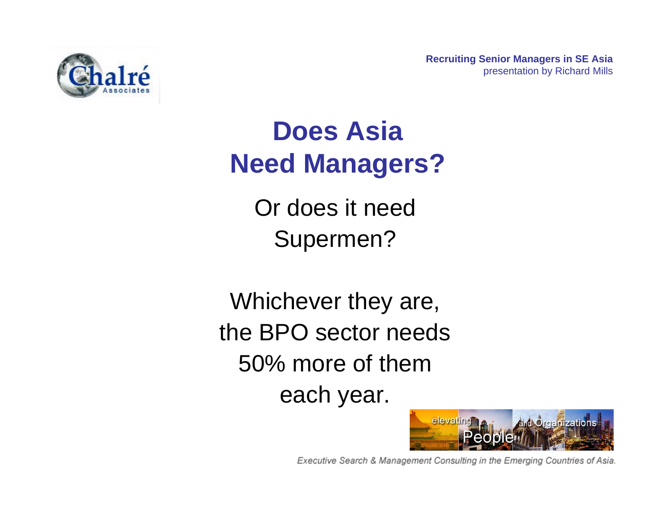

# **Does Asia Need Managers?**

Or does it need Supermen?

Whichever they are, the BPO sector needs 50% more of them each year.

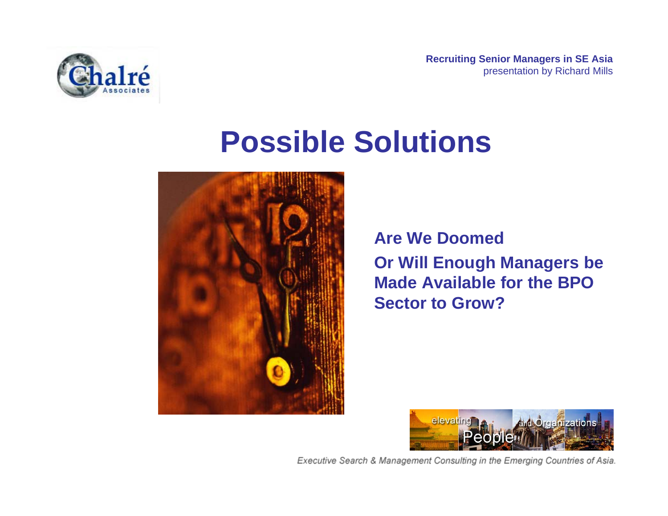

# **Possible Solutions**



**Are We DoomedOr Will Enough Managers be Made Available for the BPO Sector to Grow?**

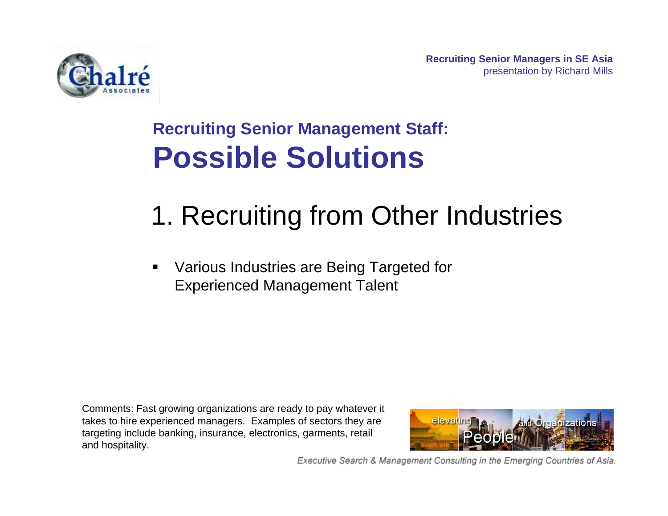

# 1. Recruiting from Other Industries

 $\blacksquare$  Various Industries are Being Targeted for Experienced Management Talent

Comments: Fast growing organizations are ready to pay whatever it takes to hire experienced managers. Examples of sectors they are targeting include banking, insurance, electronics, garments, retail and hospitality.

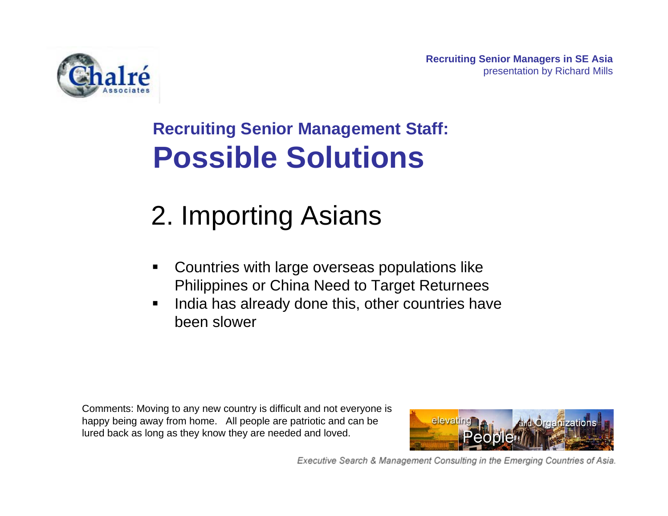

# 2. Importing Asians

- $\blacksquare$  Countries with large overseas populations like Philippines or China Need to Target Returnees
- $\blacksquare$  India has already done this, other countries have been slower

Comments: Moving to any new country is difficult and not everyone is happy being away from home. All people are patriotic and can be lured back as long as they know they are needed and loved.

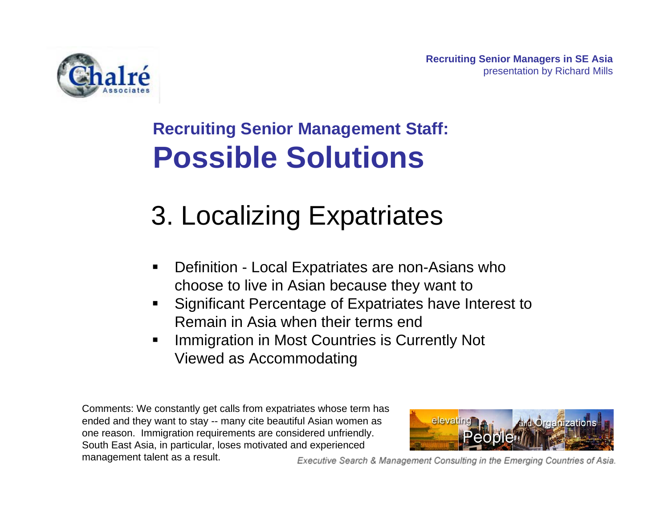

# 3. Localizing Expatriates

- $\blacksquare$  Definition - Local Expatriates are non-Asians who choose to live in Asian because they want to
- Significant Percentage of Expatriates have Interest to Remain in Asia when their terms end
- $\blacksquare$  Immigration in Most Countries is Currently Not Viewed as Accommodating

Comments: We constantly get calls from expatriates whose term has ended and they want to stay -- many cite beautiful Asian women as one reason. Immigration requirements are considered unfriendly. South East Asia, in particular, loses motivated and experienced management talent as a result.

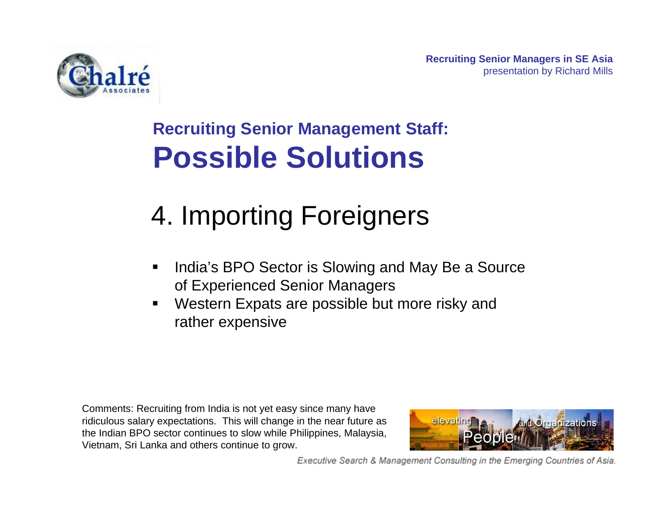

# 4. Importing Foreigners

- $\blacksquare$  India's BPO Sector is Slowing and May Be a Source of Experienced Senior Managers
- $\blacksquare$  Western Expats are possible but more risky and rather expensive

Comments: Recruiting from India is not yet easy since many have ridiculous salary expectations. This will change in the near future as the Indian BPO sector continues to slow while Philippines, Malaysia, Vietnam, Sri Lanka and others continue to grow.

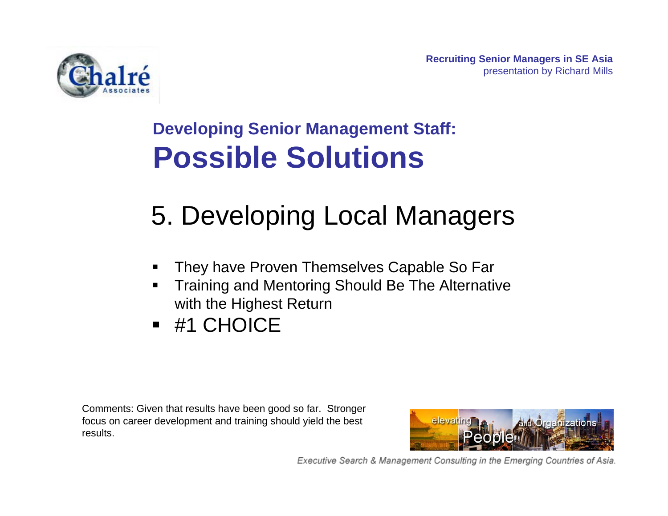

#### **Developing Senior Management Staff: Possible Solutions**

# 5. Developing Local Managers

- They have Proven Themselves Capable So Far
- Training and Mentoring Should Be The Alternative with the Highest Return
- #1 CHOICE

Comments: Given that results have been good so far. Stronger focus on career development and training should yield the best results.

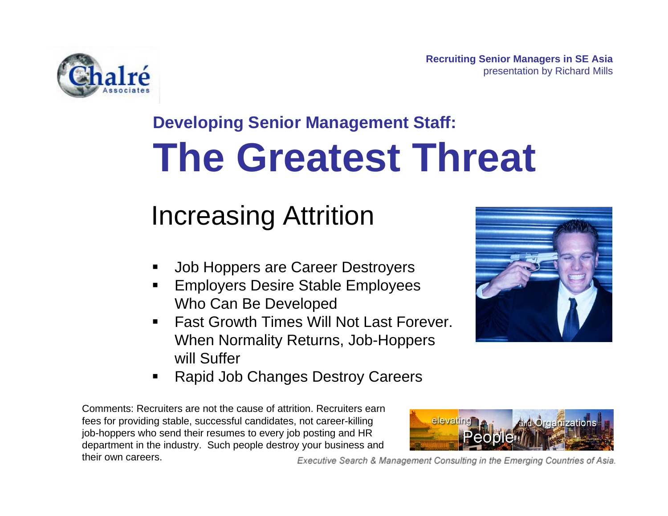

# **Developing Senior Management Staff: The Greatest Threat**

# Increasing Attrition

- Job Hoppers are Career Destroyers
- Employers Desire Stable Employees Who Can Be Developed
- Fast Growth Times Will Not Last Forever. When Normality Returns, Job-Hoppers will Suffer
- Rapid Job Changes Destroy Careers

Comments: Recruiters are not the cause of attrition. Recruiters earn fees for providing stable, successful candidates, not career-killing job-hoppers who send their resumes to every job posting and HR department in the industry. Such people destroy your business and their own careers.



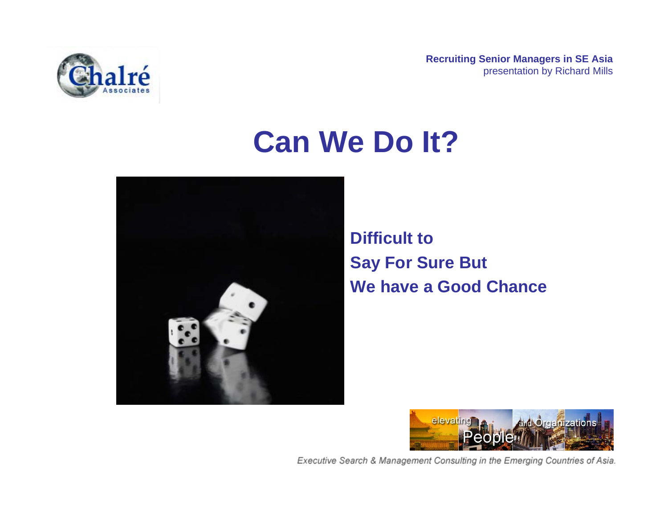

# **Can We Do It?**



**Difficult to Say For Sure But We have a Good Chance**

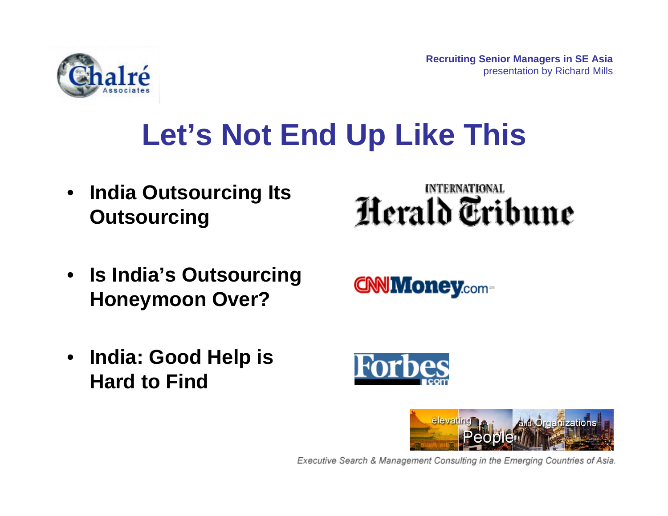

# **Let's Not End Up Like This**

- $\bullet$  **India Outsourcing Its Outsourcing**
- $\bullet$  **Is India's Outsourcing Honeymoon Over?**
- $\bullet$  **India: Good Help is Hard to Find**



**CNNMoney.com**®



Executive Search & Management Consulting in the Emerging Countries of Asia.

**INTERNATIONAL** 

Herald Tribune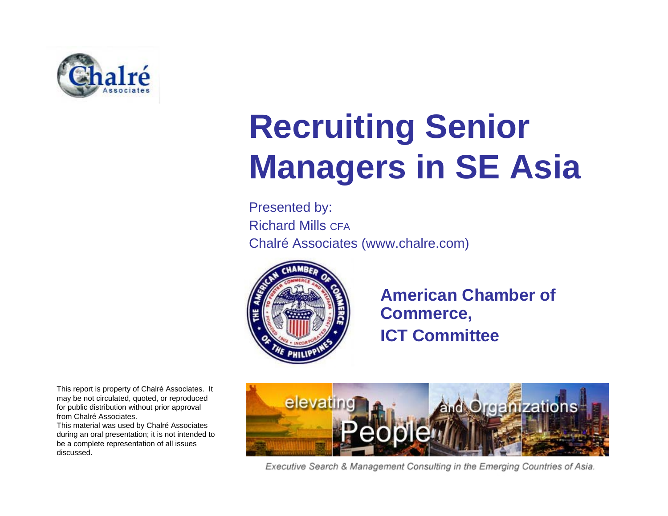

# **Recruiting Senior Managers in SE Asia**

Presented by: Richard Mills CFAChalré Associates (www.chalre.com)



**American Chamber of Commerce, ICT Committee**

This report is property of Chalré Associates. It may be not circulated, quoted, or reproduced for public distribution without prior approval from Chalré Associates.

This material was used by Chalré Associates during an oral presentation; it is not intended to be a complete representation of all issues discussed.